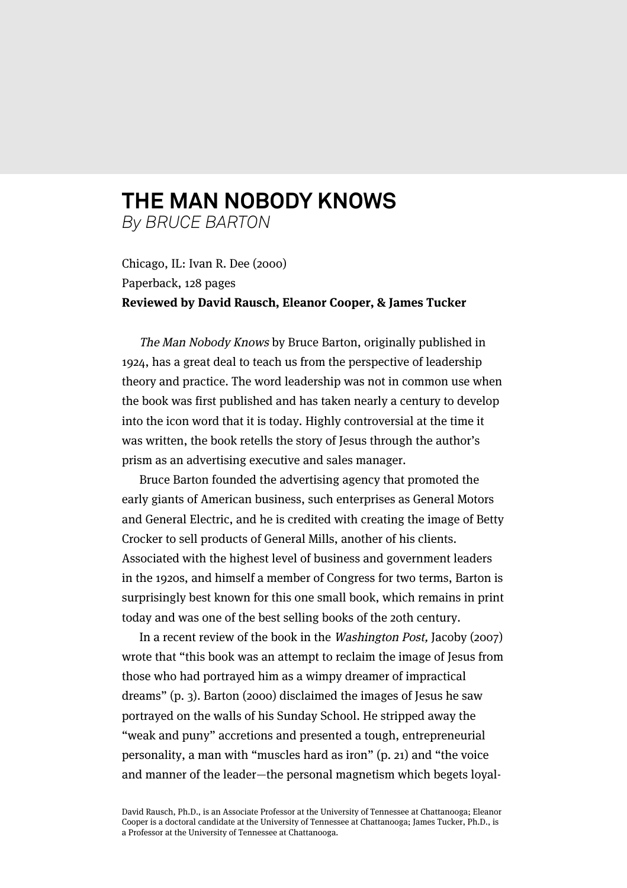## **THE MAN NOBODY KNOWS** *By BRUCE BARTON*

Chicago, IL: Ivan R. Dee (2000) Paperback, 128 pages **Reviewed by David Rausch, Eleanor Cooper, & James Tucker**

The Man Nobody Knows by Bruce Barton, originally published in 1924, has a great deal to teach us from the perspective of leadership theory and practice. The word leadership was not in common use when the book was first published and has taken nearly a century to develop into the icon word that it is today. Highly controversial at the time it was written, the book retells the story of Jesus through the author's prism as an advertising executive and sales manager.

Bruce Barton founded the advertising agency that promoted the early giants of American business, such enterprises as General Motors and General Electric, and he is credited with creating the image of Betty Crocker to sell products of General Mills, another of his clients. Associated with the highest level of business and government leaders in the 1920s, and himself a member of Congress for two terms, Barton is surprisingly best known for this one small book, which remains in print today and was one of the best selling books of the 20th century.

In a recent review of the book in the Washington Post, Jacoby (2007) wrote that "this book was an attempt to reclaim the image of Jesus from those who had portrayed him as a wimpy dreamer of impractical dreams" (p. 3). Barton (2000) disclaimed the images of Jesus he saw portrayed on the walls of his Sunday School. He stripped away the "weak and puny" accretions and presented a tough, entrepreneurial personality, a man with "muscles hard as iron" (p. 21) and "the voice and manner of the leader—the personal magnetism which begets loyal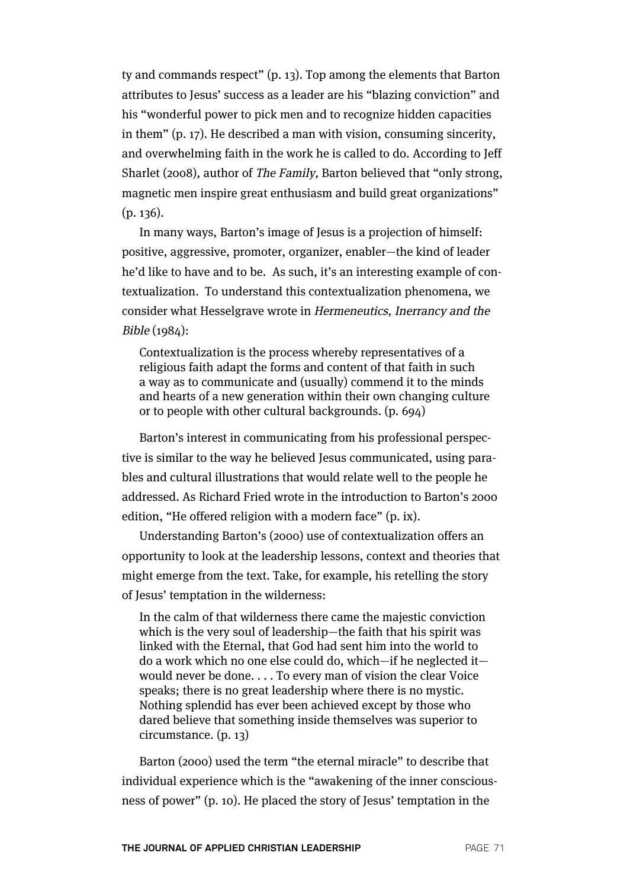ty and commands respect" (p. 13). Top among the elements that Barton attributes to Jesus' success as a leader are his "blazing conviction" and his "wonderful power to pick men and to recognize hidden capacities in them" (p. 17). He described a man with vision, consuming sincerity, and overwhelming faith in the work he is called to do. According to Jeff Sharlet (2008), author of The Family, Barton believed that "only strong, magnetic men inspire great enthusiasm and build great organizations" (p. 136).

In many ways, Barton's image of Jesus is a projection of himself: positive, aggressive, promoter, organizer, enabler—the kind of leader he'd like to have and to be. As such, it's an interesting example of contextualization. To understand this contextualization phenomena, we consider what Hesselgrave wrote in Hermeneutics, Inerrancy and the Bible (1984):

Contextualization is the process whereby representatives of a religious faith adapt the forms and content of that faith in such a way as to communicate and (usually) commend it to the minds and hearts of a new generation within their own changing culture or to people with other cultural backgrounds. (p. 694)

Barton's interest in communicating from his professional perspective is similar to the way he believed Jesus communicated, using parables and cultural illustrations that would relate well to the people he addressed. As Richard Fried wrote in the introduction to Barton's 2000 edition, "He offered religion with a modern face" (p. ix).

Understanding Barton's (2000) use of contextualization offers an opportunity to look at the leadership lessons, context and theories that might emerge from the text. Take, for example, his retelling the story of Jesus' temptation in the wilderness:

In the calm of that wilderness there came the majestic conviction which is the very soul of leadership—the faith that his spirit was linked with the Eternal, that God had sent him into the world to do a work which no one else could do, which—if he neglected it would never be done. . . . To every man of vision the clear Voice speaks; there is no great leadership where there is no mystic. Nothing splendid has ever been achieved except by those who dared believe that something inside themselves was superior to circumstance. (p. 13)

Barton (2000) used the term "the eternal miracle" to describe that individual experience which is the "awakening of the inner consciousness of power" (p. 10). He placed the story of Jesus' temptation in the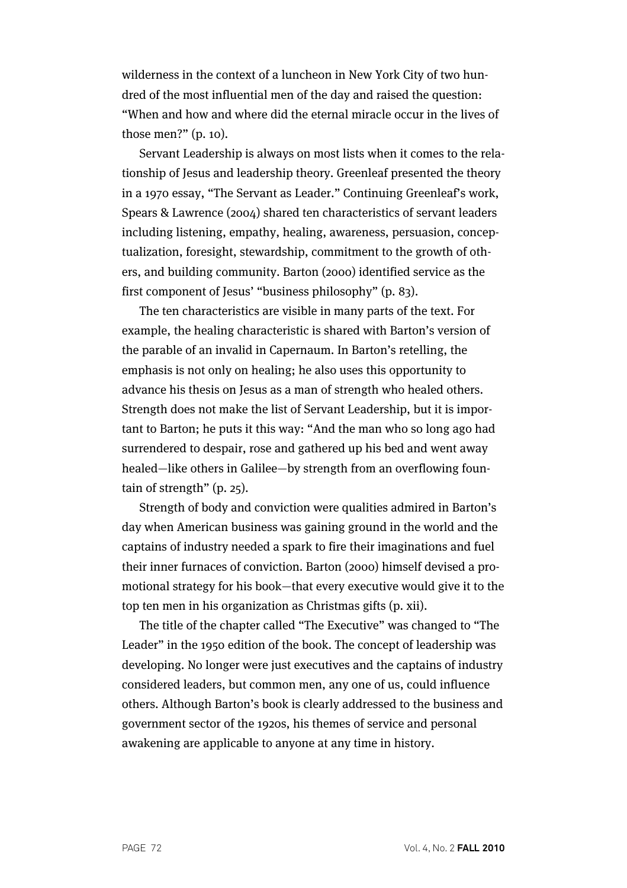wilderness in the context of a luncheon in New York City of two hundred of the most influential men of the day and raised the question: "When and how and where did the eternal miracle occur in the lives of those men?" (p. 10).

Servant Leadership is always on most lists when it comes to the relationship of Jesus and leadership theory. Greenleaf presented the theory in a 1970 essay, "The Servant as Leader." Continuing Greenleaf's work, Spears & Lawrence (2004) shared ten characteristics of servant leaders including listening, empathy, healing, awareness, persuasion, conceptualization, foresight, stewardship, commitment to the growth of others, and building community. Barton (2000) identified service as the first component of Jesus' "business philosophy" (p. 83).

The ten characteristics are visible in many parts of the text. For example, the healing characteristic is shared with Barton's version of the parable of an invalid in Capernaum. In Barton's retelling, the emphasis is not only on healing; he also uses this opportunity to advance his thesis on Jesus as a man of strength who healed others. Strength does not make the list of Servant Leadership, but it is important to Barton; he puts it this way: "And the man who so long ago had surrendered to despair, rose and gathered up his bed and went away healed—like others in Galilee—by strength from an overflowing fountain of strength" (p. 25).

Strength of body and conviction were qualities admired in Barton's day when American business was gaining ground in the world and the captains of industry needed a spark to fire their imaginations and fuel their inner furnaces of conviction. Barton (2000) himself devised a promotional strategy for his book—that every executive would give it to the top ten men in his organization as Christmas gifts (p. xii).

The title of the chapter called "The Executive" was changed to "The Leader" in the 1950 edition of the book. The concept of leadership was developing. No longer were just executives and the captains of industry considered leaders, but common men, any one of us, could influence others. Although Barton's book is clearly addressed to the business and government sector of the 1920s, his themes of service and personal awakening are applicable to anyone at any time in history.